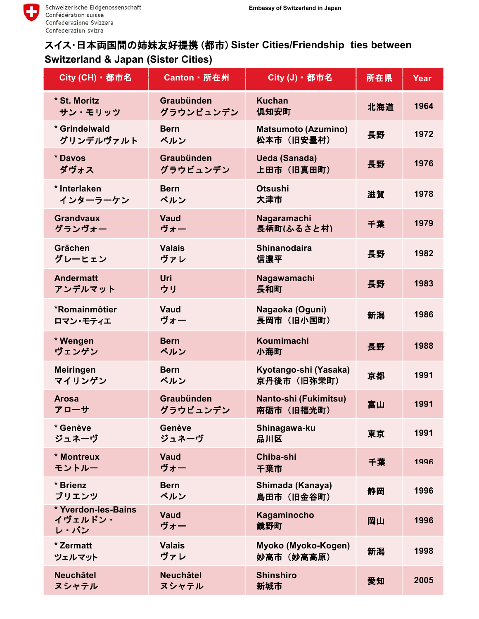## スイス・日本両国間の姉妹友好提携 (都市) **Sister Cities/Friendship ties between Switzerland & Japan (Sister Cities)**

| City (CH) · 都市名                        | Canton · 所在州              | City (J) · 都市名                           | 所在県 | Year |
|----------------------------------------|---------------------------|------------------------------------------|-----|------|
| * St. Moritz<br>サン・モリッツ                | Graubünden<br>グラウンビュンデン   | <b>Kuchan</b><br>俱知安町                    | 北海道 | 1964 |
| * Grindelwald<br>グリンデルヴァルト             | <b>Bern</b><br>ベルン        | <b>Matsumoto (Azumino)</b><br>松本市 (旧安曇村) | 長野  | 1972 |
| * Davos<br>ダヴォス                        | Graubünden<br>グラウビュンデン    | <b>Ueda (Sanada)</b><br>上田市 (旧真田町)       | 長野  | 1976 |
| * Interlaken<br>インターラーケン               | <b>Bern</b><br>ベルン        | <b>Otsushi</b><br>大津市                    | 滋賀  | 1978 |
| <b>Grandvaux</b><br>グランヴォー             | <b>Vaud</b><br>ヴォー        | Nagaramachi<br>長柄町(ふるさと村)                | 千葉  | 1979 |
| Grächen<br>グレーヒェン                      | <b>Valais</b><br>ヴァレ      | <b>Shinanodaira</b><br>信濃平               | 長野  | 1982 |
| <b>Andermatt</b><br>アンデルマット            | Uri<br>ウリ                 | Nagawamachi<br>長和町                       | 長野  | 1983 |
| *Romainmôtier<br>ロマン・モティエ              | <b>Vaud</b><br>ヴォー        | Nagaoka (Oguni)<br>長岡市 (旧小国町)            | 新潟  | 1986 |
| * Wengen<br>ヴェンゲン                      | <b>Bern</b><br>ベルン        | Koumimachi<br>小海町                        | 長野  | 1988 |
| <b>Meiringen</b><br>マイリンゲン             | <b>Bern</b><br>ベルン        | Kyotango-shi (Yasaka)<br>京丹後市 (旧弥栄町)     | 京都  | 1991 |
| <b>Arosa</b><br>アローサ                   | Graubünden<br>グラウビュンデン    | Nanto-shi (Fukimitsu)<br>南砺市 (旧福光町)      | 富山  | 1991 |
| * Genève<br>ジュネーヴ                      | Genève<br>ジュネーヴ           | Shinagawa-ku<br>品川区                      | 東京  | 1991 |
| * Montreux<br>モントルー                    | Vaud<br>ヴォー               | Chiba-shi<br>千葉市                         | 千葉  | 1996 |
| * Brienz<br>ブリエンツ                      | <b>Bern</b><br>ベルン        | Shimada (Kanaya)<br>島田市 (旧金谷町)           | 静岡  | 1996 |
| * Yverdon-les-Bains<br>イヴェルドン・<br>レ・バン | <b>Vaud</b><br>ヴォー        | Kagaminocho<br>鏡野町                       | 岡山  | 1996 |
| * Zermatt<br>ツェルマット                    | <b>Valais</b><br>ヴァレ      | Myoko (Myoko-Kogen)<br>妙高市 (妙高高原)        | 新潟  | 1998 |
| <b>Neuchâtel</b><br>ヌシャテル              | <b>Neuchâtel</b><br>ヌシャテル | <b>Shinshiro</b><br>新城市                  | 愛知  | 2005 |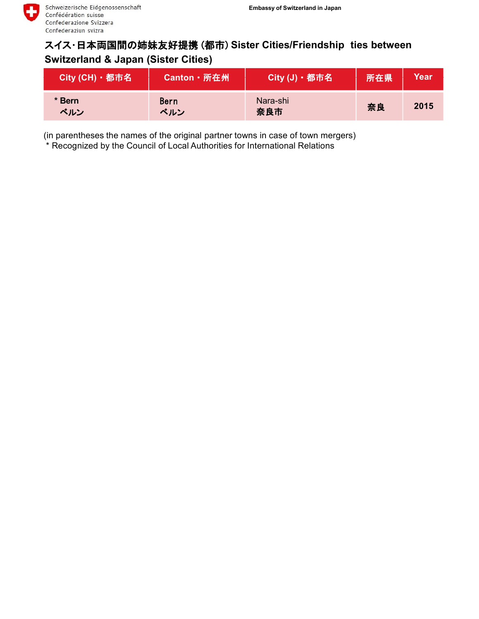## スイス・日本両国間の姉妹友好提携 (都市) **Sister Cities/Friendship ties between Switzerland & Japan (Sister Cities)**

| City (CH) · 都市名 | Canton · 所在州       | City (J) · 都市名  | 所在県 | Year |
|-----------------|--------------------|-----------------|-----|------|
| * Bern<br>ベルン   | <b>Bern</b><br>ベルン | Nara-shi<br>奈良市 | 奈良  | 2015 |

(in parentheses the names of the original partner towns in case of town mergers)

\* Recognized by the Council of Local Authorities for International Relations